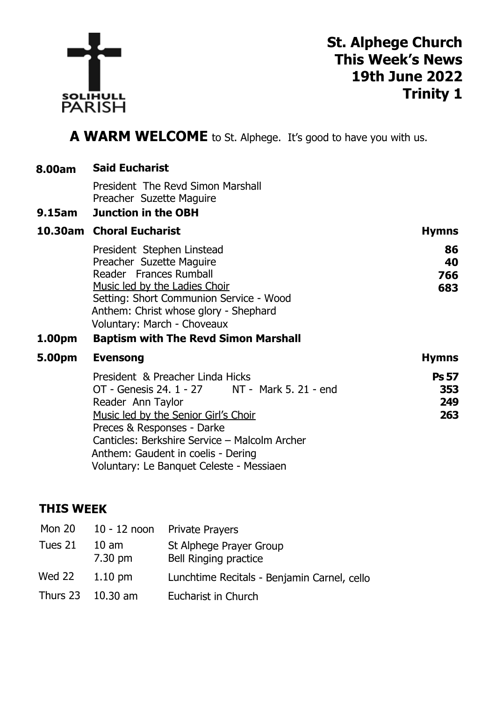

# **St. Alphege Church This Week's News 19th June 2022 Trinity 1**

A WARM WELCOME to St. Alphege. It's good to have you with us.

| 8.00am | <b>Said Eucharist</b>                                                                                                                                                                                                                                                               |                                   |
|--------|-------------------------------------------------------------------------------------------------------------------------------------------------------------------------------------------------------------------------------------------------------------------------------------|-----------------------------------|
|        | President The Revd Simon Marshall<br>Preacher Suzette Maguire                                                                                                                                                                                                                       |                                   |
| 9.15am | Junction in the OBH                                                                                                                                                                                                                                                                 |                                   |
|        | 10.30am Choral Eucharist                                                                                                                                                                                                                                                            | <b>Hymns</b>                      |
| 1.00pm | President Stephen Linstead<br>Preacher Suzette Maguire<br>Reader Frances Rumball<br>Music led by the Ladies Choir<br>Setting: Short Communion Service - Wood<br>Anthem: Christ whose glory - Shephard<br>Voluntary: March - Choveaux<br><b>Baptism with The Revd Simon Marshall</b> | 86<br>40<br>766<br>683            |
| 5.00pm | <b>Evensong</b>                                                                                                                                                                                                                                                                     | Hymns                             |
|        | President & Preacher Linda Hicks<br>OT - Genesis 24. 1 - 27 NT - Mark 5. 21 - end<br>Reader Ann Taylor<br>Music led by the Senior Girl's Choir<br>Preces & Responses - Darke                                                                                                        | <b>Ps 57</b><br>353<br>249<br>263 |

Canticles: Berkshire Service – Malcolm Archer Anthem: Gaudent in coelis - Dering

Voluntary: Le Banquet Celeste - Messiaen

## **THIS WEEK**

| Mon 20  | 10 - 12 noon               | <b>Private Prayers</b>                           |
|---------|----------------------------|--------------------------------------------------|
| Tues 21 | $10 \text{ am}$<br>7.30 pm | St Alphege Prayer Group<br>Bell Ringing practice |
| Wed 22  | $1.10 \text{ pm}$          | Lunchtime Recitals - Benjamin Carnel, cello      |
|         | Thurs 23 10.30 am          | Eucharist in Church                              |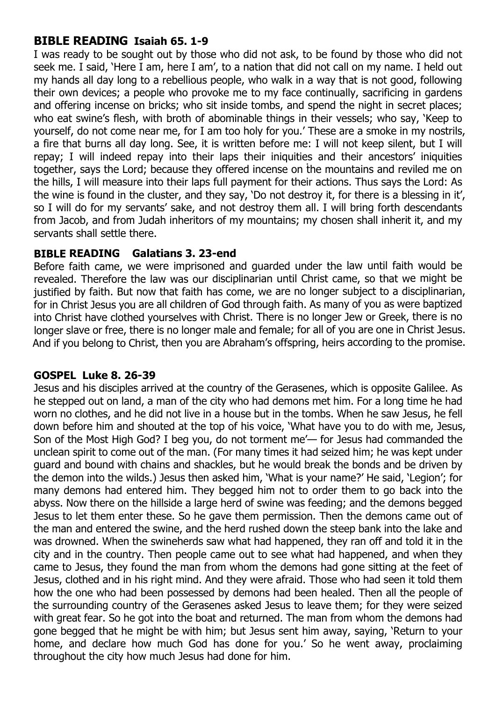### **BIBLE READING Isaiah 65. 1-9**

I was ready to be sought out by those who did not ask, to be found by those who did not seek me. I said, 'Here I am, here I am', to a nation that did not call on my name. I held out my hands all day long to a rebellious people, who walk in a way that is not good, following their own devices; a people who provoke me to my face continually, sacrificing in gardens and offering incense on bricks; who sit inside tombs, and spend the night in secret places; who eat swine's flesh, with broth of abominable things in their vessels; who say, 'Keep to yourself, do not come near me, for I am too holy for you.' These are a smoke in my nostrils, a fire that burns all day long. See, it is written before me: I will not keep silent, but I will repay; I will indeed repay into their laps their iniquities and their ancestors' iniquities together, says the Lord; because they offered incense on the mountains and reviled me on the hills, I will measure into their laps full payment for their actions. Thus says the Lord: As the wine is found in the cluster, and they say, 'Do not destroy it, for there is a blessing in it', so I will do for my servants' sake, and not destroy them all. I will bring forth descendants from Jacob, and from Judah inheritors of my mountains; my chosen shall inherit it, and my servants shall settle there.

#### **BIBLE READING Galatians 3. 23-end**

Before faith came, we were imprisoned and guarded under the law until faith would be revealed. Therefore the law was our disciplinarian until Christ came, so that we might be justified by faith. But now that faith has come, we are no longer subject to a disciplinarian, for in Christ Jesus you are all children of God through faith. As many of you as were baptized into Christ have clothed yourselves with Christ. There is no longer Jew or Greek, there is no longer slave or free, there is no longer male and female; for all of you are one in Christ Jesus. And if you belong to Christ, then you are Abraham's offspring, heirs according to the promise.

#### **GOSPEL Luke 8. 26-39**

Jesus and his disciples arrived at the country of the Gerasenes, which is opposite Galilee. As he stepped out on land, a man of the city who had demons met him. For a long time he had worn no clothes, and he did not live in a house but in the tombs. When he saw Jesus, he fell down before him and shouted at the top of his voice, 'What have you to do with me, Jesus, Son of the Most High God? I beg you, do not torment me'— for Jesus had commanded the unclean spirit to come out of the man. (For many times it had seized him; he was kept under guard and bound with chains and shackles, but he would break the bonds and be driven by the demon into the wilds.) Jesus then asked him, 'What is your name?' He said, 'Legion'; for many demons had entered him. They begged him not to order them to go back into the abyss. Now there on the hillside a large herd of swine was feeding; and the demons begged Jesus to let them enter these. So he gave them permission. Then the demons came out of the man and entered the swine, and the herd rushed down the steep bank into the lake and was drowned. When the swineherds saw what had happened, they ran off and told it in the city and in the country. Then people came out to see what had happened, and when they came to Jesus, they found the man from whom the demons had gone sitting at the feet of Jesus, clothed and in his right mind. And they were afraid. Those who had seen it told them how the one who had been possessed by demons had been healed. Then all the people of the surrounding country of the Gerasenes asked Jesus to leave them; for they were seized with great fear. So he got into the boat and returned. The man from whom the demons had gone begged that he might be with him; but Jesus sent him away, saying, 'Return to your home, and declare how much God has done for you.' So he went away, proclaiming throughout the city how much Jesus had done for him.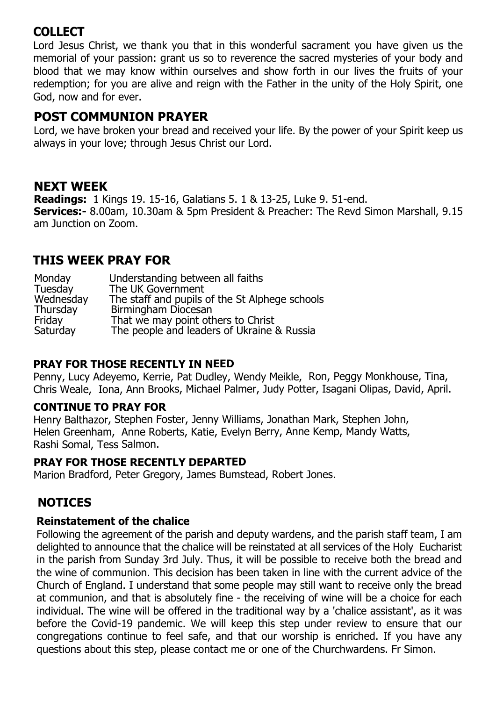## **COLLECT**

Lord Jesus Christ, we thank you that in this wonderful sacrament you have given us the memorial of your passion: grant us so to reverence the sacred mysteries of your body and blood that we may know within ourselves and show forth in our lives the fruits of your redemption; for you are alive and reign with the Father in the unity of the Holy Spirit, one God, now and for ever.

## **POST COMMUNION PRAYER**

Lord, we have broken your bread and received your life. By the power of your Spirit keep us always in your love; through Jesus Christ our Lord.

### **NEXT WEEK**

**Readings:** 1 Kings 19. 15-16, Galatians 5. 1 & 13-25, Luke 9. 51-end. **Services:-** 8.00am, 10.30am & 5pm President & Preacher: The Revd Simon Marshall, 9.15 am Junction on Zoom.

## **THIS WEEK PRAY FOR**

Monday Understanding between all faiths<br>Tuesday The UK Government Tuesday The UK Government<br>Wednesday The staff and pupils Wednesday The staff and pupils of the St Alphege schools<br>Thursday Birmingham Diocesan Thursday Birmingham Diocesan Friday **That we may point others to Christ**<br>
Saturday The people and leaders of Ukraine The people and leaders of Ukraine & Russia

### **PRAY FOR THOSE RECENTLY IN NEED**

Penny, Lucy Adeyemo, Kerrie, Pat Dudley, Wendy Meikle, Ron, Peggy Monkhouse, Tina, Chris Weale, Iona, Ann Brooks, Michael Palmer, Judy Potter, Isagani Olipas, David, April.

#### **CONTINUE TO PRAY FOR**

Henry Balthazor, Stephen Foster, Jenny Williams, Jonathan Mark, Stephen John, Helen Greenham, Anne Roberts, Katie, Evelyn Berry, Anne Kemp, Mandy Watts, Rashi Somal, Tess Salmon.

### **PRAY FOR THOSE RECENTLY DEPARTED**

Marion Bradford, Peter Gregory, James Bumstead, Robert Jones.

### **NOTICES**

#### **Reinstatement of the chalice**

Following the agreement of the parish and deputy wardens, and the parish staff team, I am delighted to announce that the chalice will be reinstated at all services of the Holy Eucharist in the parish from Sunday 3rd July. Thus, it will be possible to receive both the bread and the wine of communion. This decision has been taken in line with the current advice of the Church of England. I understand that some people may still want to receive only the bread at communion, and that is absolutely fine - the receiving of wine will be a choice for each individual. The wine will be offered in the traditional way by a 'chalice assistant', as it was before the Covid-19 pandemic. We will keep this step under review to ensure that our congregations continue to feel safe, and that our worship is enriched. If you have any questions about this step, please contact me or one of the Churchwardens. Fr Simon.